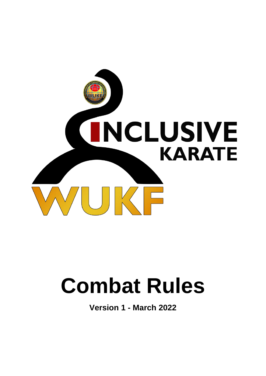

# **Combat Rules**

**Version 1 - March 2022**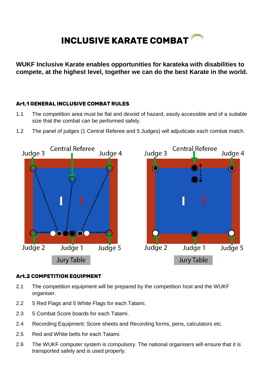# **INCLUSIVE KARATE COMBAT**

**WUKF Inclusive Karate enables opportunities for karateka with disabilities to compete, at the highest level, together we can do the best Karate in the world.**

# **Art.1 GENERAL INCLUSIVE COMBAT RULES**

- 1.1 The competition area must be flat and devoid of hazard, easily accessible and of a suitable size that the combat can be performed safely.
- 1.2 The panel of judges (1 Central Referee and 5 Judges) will adjudicate each combat match.



# **Art.2 COMPETITION EQUIPMENT**

- 2.1 The competition equipment will be prepared by the competition host and the WUKF organiser.
- 2.2 5 Red Flags and 5 White Flags for each Tatami.
- 2.3 5 Combat Score boards for each Tatami.
- 2.4 Recording Equipment: Score sheets and Recording forms, pens, calculators etc.
- 2.5 Red and White belts for each Tatami.
- 2.6 The WUKF computer system is compulsory. The national organisers will ensure that it is transported safely and is used properly.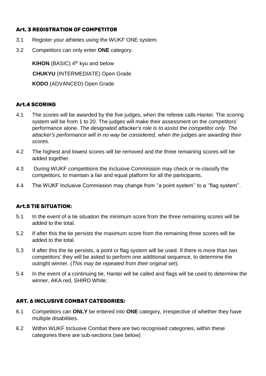# **Art. 3 REGISTRATION OF COMPETITOR**

- 3.1 Register your athletes using the WUKF ONE system.
- 3.2 Competitors can only enter **ONE** category.

**KIHON** (BASIC) 4<sup>th</sup> kyu and below **CHUKYU** (INTERMEDIATE) Open Grade **KODO** (ADVANCED) Open Grade

# **Art.4 SCORING**

- 4.1 The scores will be awarded by the five judges, when the referee calls Hantei. The scoring system will be from 1 to 20. The judges will make their assessment on the competitors' performance alone. *The designated attacker's role is to assist the competitor only. The attacker's performance will in no way be considered, when the judges are awarding their scores.*
- 4.2 The highest and lowest scores will be removed and the three remaining scores will be added together.
- 4.3 During WUKF competitions the Inclusive Commission may check or re-classify the competitors, to maintain a fair and equal platform for all the participants.
- 4.4 The WUKF Inclusive Commission may change from "a point system" to a "flag system".

# **Art.5 TIE SITUATION:**

- 5.1 In the event of a tie situation the minimum score from the three remaining scores will be added to the total.
- 5.2 If after this the tie persists the maximum score from the remaining three scores will be added to the total.
- 5.3 If after this the tie persists, a point or flag system will be used. If there is more than two competitors' they will be asked to perform one additional sequence, to determine the outright winner. (*This may be repeated from their original set*).
- 5.4 In the event of a continuing tie, Hantei will be called and flags will be used to determine the winner, AKA red, SHIRO White.

# **ART. 6 INCLUSIVE COMBAT CATEGORIES:**

- 6.1 Competitors can **ONLY** be entered into **ONE** category, irrespective of whether they have multiple disabilities.
- 6.2 Within WUKF Inclusive Combat there are two recognised categories, within these categories there are sub-sections (see below)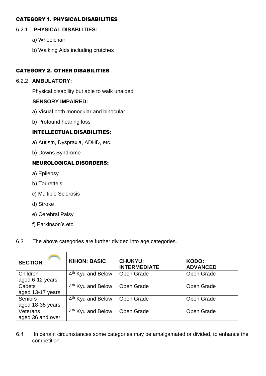#### **CATEGORY 1. PHYSICAL DISABILITIES**

#### 6.2.1 **PHYSICAL DISABLITIES:**

- a) Wheelchair
- b) Walking Aids including crutches

# **CATEGORY 2. OTHER DISABILITIES**

#### 6.2.2 **AMBULATORY:**

Physical disability but able to walk unaided

# **SENSORY IMPAIRED:**

- a) Visual both monocular and binocular
- b) Profound hearing loss

# **INTELLECTUAL DISABILITIES:**

- a) Autism, Dyspraxia, ADHD, etc.
- b) Downs Syndrome

# **NEUROLOGICAL DISORDERS:**

- a) Epilepsy
- b) Tourette's
- c) Multiple Sclerosis
- d) Stroke
- e) Cerebral Palsy
- f) Parkinson's etc.

#### 6.3 The above categories are further divided into age categories.

| <b>SECTION</b>                     | <b>KIHON: BASIC</b>           | <b>CHUKYU:</b><br><b>INTERMEDIATE</b> | KODO:<br><b>ADVANCED</b> |
|------------------------------------|-------------------------------|---------------------------------------|--------------------------|
| Children<br>aged 6-12 years        | 4 <sup>th</sup> Kyu and Below | Open Grade                            | Open Grade               |
| Cadets<br>aged 13-17 years         | 4 <sup>th</sup> Kyu and Below | Open Grade                            | Open Grade               |
| <b>Seniors</b><br>aged 18-35 years | 4 <sup>th</sup> Kyu and Below | Open Grade                            | Open Grade               |
| Veterans<br>aged 36 and over       | 4 <sup>th</sup> Kyu and Below | Open Grade                            | Open Grade               |

6.4 In certain circumstances some categories may be amalgamated or divided, to enhance the competition.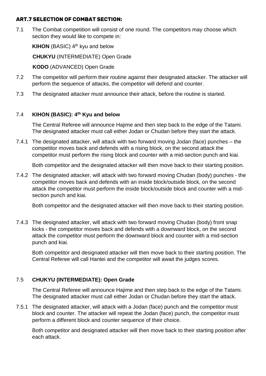#### **ART.7 SELECTION OF COMBAT SECTION:**

7.1 The Combat competition will consist of one round. The competitors may choose which section they would like to compete in:

**KIHON** (BASIC) 4<sup>th</sup> kyu and below

**CHUKYU** (INTERMEDIATE) Open Grade

**KODO** (ADVANCED) Open Grade

- 7.2 The competitor will perform their routine against their designated attacker. The attacker will perform the sequence of attacks, the competitor will defend and counter.
- 7.3 The designated attacker must announce their attack, before the routine is started.

# 7.4 **KIHON (BASIC): 4 th Kyu and below**

The Central Referee will announce Hajime and then step back to the edge of the Tatami. The designated attacker must call either Jodan or Chudan before they start the attack.

7.4.1 The designated attacker, will attack with two forward moving Jodan (face) punches – the competitor moves back and defends with a rising block, on the second attack the competitor must perform the rising block and counter with a mid-section punch and kiai.

Both competitor and the designated attacker will then move back to their starting position.

7.4.2 The designated attacker, will attack with two forward moving Chudan (body) punches - the competitor moves back and defends with an inside block/outside block, on the second attack the competitor must perform the inside block/outside block and counter with a midsection punch and kiai.

Both competitor and the designated attacker will then move back to their starting position.

7.4.3 The designated attacker, will attack with two forward moving Chudan (body) front snap kicks - the competitor moves back and defends with a downward block, on the second attack the competitor must perform the downward block and counter with a mid-section punch and kiai.

Both competitor and designated attacker will then move back to their starting position. The Central Referee will call Hantei and the competitor will await the judges scores.

# 7.5 **CHUKYU (INTERMEDIATE): Open Grade**

The Central Referee will announce Hajime and then step back to the edge of the Tatami. The designated attacker must call either Jodan or Chudan before they start the attack.

7.5.1 The designated attacker, will attack with a Jodan (face) punch and the competitor must block and counter. The attacker will repeat the Jodan (face) punch, the competitor must perform a different block and counter sequence of their choice.

Both competitor and designated attacker will then move back to their starting position after each attack.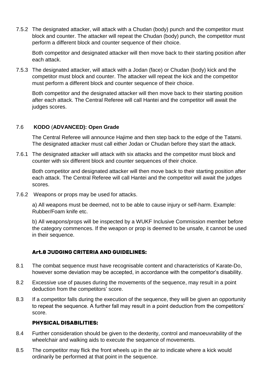7.5.2 The designated attacker, will attack with a Chudan (body) punch and the competitor must block and counter. The attacker will repeat the Chudan (body) punch, the competitor must perform a different block and counter sequence of their choice.

Both competitor and designated attacker will then move back to their starting position after each attack.

7.5.3 The designated attacker, will attack with a Jodan (face) or Chudan (body) kick and the competitor must block and counter. The attacker will repeat the kick and the competitor must perform a different block and counter sequence of their choice.

Both competitor and the designated attacker will then move back to their starting position after each attack. The Central Referee will call Hantei and the competitor will await the judges scores.

# 7.6 **KODO** (**ADVANCED): Open Grade**

The Central Referee will announce Hajime and then step back to the edge of the Tatami. The designated attacker must call either Jodan or Chudan before they start the attack.

7.6.1 The designated attacker will attack with six attacks and the competitor must block and counter with six different block and counter sequences of their choice.

Both competitor and designated attacker will then move back to their starting position after each attack. The Central Referee will call Hantei and the competitor will await the judges scores.

7.6.2 Weapons or props may be used for attacks.

a) All weapons must be deemed, not to be able to cause injury or self-harm. Example: Rubber/Foam knife etc.

b) All weapons/props will be inspected by a WUKF Inclusive Commission member before the category commences. If the weapon or prop is deemed to be unsafe, it cannot be used in their sequence.

# **Art.8 JUDGING CRITERIA AND GUIDELINES:**

- 8.1 The combat sequence must have recognisable content and characteristics of Karate-Do, however some deviation may be accepted, in accordance with the competitor's disability.
- 8.2 Excessive use of pauses during the movements of the sequence, may result in a point deduction from the competitors' score.
- 8.3 If a competitor falls during the execution of the sequence, they will be given an opportunity to repeat the sequence. A further fall may result in a point deduction from the competitors' score.

# **PHYSICAL DISABILITIES:**

- 8.4 Further consideration should be given to the dexterity, control and manoeuvrability of the wheelchair and walking aids to execute the sequence of movements.
- 8.5 The competitor may flick the front wheels up in the air to indicate where a kick would ordinarily be performed at that point in the sequence.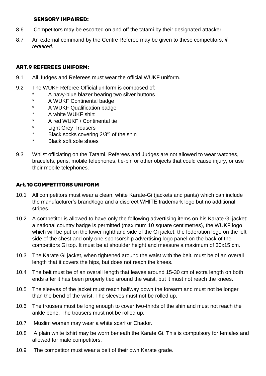#### **SENSORY IMPAIRED:**

- 8.6 Competitors may be escorted on and off the tatami by their designated attacker.
- 8.7 An external command by the Centre Referee may be given to these competitors, *if required*.

#### **ART.9 REFEREES UNIFORM:**

- 9.1 All Judges and Referees must wear the official WUKF uniform.
- 9.2 The WUKF Referee Official uniform is composed of:
	- A navy-blue blazer bearing two silver buttons
	- A WUKF Continental badge
	- \* A WUKF Qualification badge
	- \* A white WUKF shirt
	- \* A red WUKF / Continental tie
	- \* Light Grey Trousers
	- \* Black socks covering 2/3rd of the shin
	- \* Black soft sole shoes
- 9.3 Whilst officiating on the Tatami, Referees and Judges are not allowed to wear watches, bracelets, pens, mobile telephones, tie-pin or other objects that could cause injury, or use their mobile telephones.

#### **Art.10 COMPETITORS UNIFORM**

- 10.1 All competitors must wear a clean, white Karate-Gi (jackets and pants) which can include the manufacturer's brand/logo and a discreet WHITE trademark logo but no additional stripes.
- 10.2 A competitor is allowed to have only the following advertising items on his Karate Gi jacket: a national country badge is permitted (maximum 10 square centimetres), the WUKF logo which will be put on the lower righthand side of the Gi jacket, the federation logo on the left side of the chest and only one sponsorship advertising logo panel on the back of the competitors Gi top. It must be at shoulder height and measure a maximum of 30x15 cm.
- 10.3 The Karate Gi jacket, when tightened around the waist with the belt, must be of an overall length that it covers the hips, but does not reach the knees.
- 10.4 The belt must be of an overall length that leaves around 15-30 cm of extra length on both ends after it has been properly tied around the waist, but it must not reach the knees.
- 10.5 The sleeves of the jacket must reach halfway down the forearm and must not be longer than the bend of the wrist. The sleeves must not be rolled up.
- 10.6 The trousers must be long enough to cover two-thirds of the shin and must not reach the ankle bone. The trousers must not be rolled up.
- 10.7 Muslim women may wear a white scarf or Chador.
- 10.8 A plain white tshirt may be worn beneath the Karate Gi. This is compulsory for females and allowed for male competitors.
- 10.9 The competitor must wear a belt of their own Karate grade.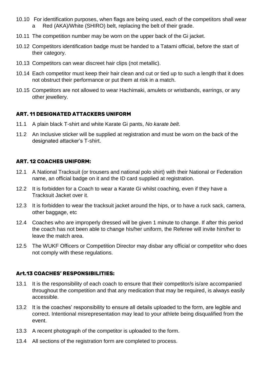- 10.10 For identification purposes, when flags are being used, each of the competitors shall wear a Red (AKA)/White (SHIRO) belt, replacing the belt of their grade.
- 10.11 The competition number may be worn on the upper back of the Gi jacket.
- 10.12 Competitors identification badge must be handed to a Tatami official, before the start of their category.
- 10.13 Competitors can wear discreet hair clips (not metallic).
- 10.14 Each competitor must keep their hair clean and cut or tied up to such a length that it does not obstruct their performance or put them at risk in a match.
- 10.15 Competitors are not allowed to wear Hachimaki, amulets or wristbands, earrings, or any other jewellery.

# **ART. 11 DESIGNATED ATTACKERS UNIFORM**

- 11.1 A plain black T-shirt and white Karate Gi pants, *No karate belt*.
- 11.2 An Inclusive sticker will be supplied at registration and must be worn on the back of the designated attacker's T-shirt.

#### **ART. 12 COACHES UNIFORM:**

- 12.1 A National Tracksuit (or trousers and national polo shirt) with their National or Federation name, an official badge on it and the ID card supplied at registration.
- 12.2 It is forbidden for a Coach to wear a Karate Gi whilst coaching, even if they have a Tracksuit Jacket over it.
- 12.3 It is forbidden to wear the tracksuit jacket around the hips, or to have a ruck sack, camera, other baggage, etc
- 12.4 Coaches who are improperly dressed will be given 1 minute to change. If after this period the coach has not been able to change his/her uniform, the Referee will invite him/her to leave the match area.
- 12.5 The WUKF Officers or Competition Director may disbar any official or competitor who does not comply with these regulations.

#### **Art.13 COACHES' RESPONSIBILITIES:**

- 13.1 It is the responsibility of each coach to ensure that their competitor/s is/are accompanied throughout the competition and that any medication that may be required, is always easily accessible.
- 13.2 It is the coaches' responsibility to ensure all details uploaded to the form, are legible and correct. Intentional misrepresentation may lead to your athlete being disqualified from the event.
- 13.3 A recent photograph of the competitor is uploaded to the form.
- 13.4 All sections of the registration form are completed to process.